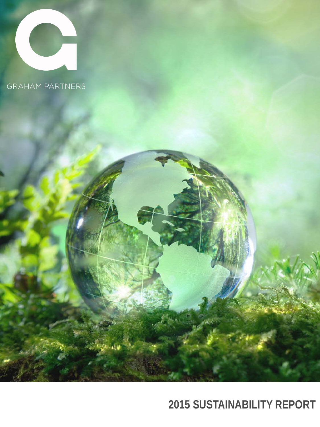

# **2015 SUSTAINABILITY REPORT**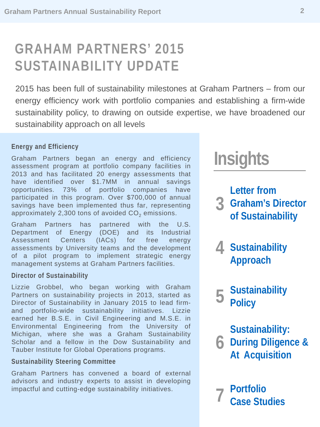# **GRAHAM PARTNERS' 2015 SUSTAINABILITY UPDATE**

2015 has been full of sustainability milestones at Graham Partners – from our energy efficiency work with portfolio companies and establishing a firm-wide sustainability policy, to drawing on outside expertise, we have broadened our sustainability approach on all levels

#### **Energy and Efficiency**

Graham Partners began an energy and efficiency assessment program at portfolio company facilities in 2013 and has facilitated 20 energy assessments that have identified over \$1.7MM in annual savings opportunities. 73% of portfolio companies have participated in this program. Over \$700,000 of annual savings have been implemented thus far, representing approximately 2,300 tons of avoided  $CO<sub>2</sub>$  emissions.

Graham Partners has partnered with the U.S. Department of Energy (DOE) and its Industrial Assessment Centers (IACs) for free energy assessments by University teams and the development of a pilot program to implement strategic energy management systems at Graham Partners facilities.

#### **Director of Sustainability**

Lizzie Grobbel, who began working with Graham Partners on sustainability projects in 2013, started as Director of Sustainability in January 2015 to lead firmand portfolio-wide sustainability initiatives. Lizzie earned her B.S.E. in Civil Engineering and M.S.E. in Environmental Engineering from the University of Michigan, where she was a Graham Sustainability Scholar and a fellow in the Dow Sustainability and Tauber Institute for Global Operations programs.

#### **Sustainability Steering Committee**

Graham Partners has convened a board of external advisors and industry experts to assist in developing impactful and cutting-edge sustainability initiatives.

# **Insights**

**3 Graham's Director Letter from of Sustainability**

**4 Sustainability Approach**

**5 Sustainability Policy**

**6 During Diligence & Sustainability: At Acquisition**

**7 Portfolio Case Studies**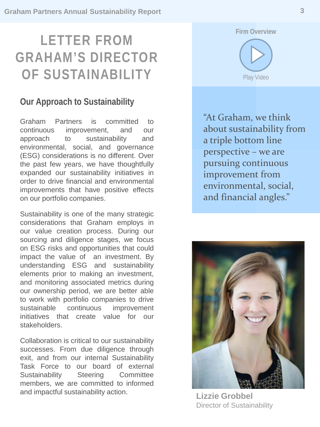# **LETTER FROM GRAHAM'S DIRECTOR OF SUSTAINABILITY**

### **Our Approach to Sustainability**

Graham Partners is committed to continuous improvement, and our approach to sustainability and environmental, social, and governance (ESG) considerations is no different. Over the past few years, we have thoughtfully expanded our sustainability initiatives in order to drive financial and environmental improvements that have positive effects on our portfolio companies.

Sustainability is one of the many strategic considerations that Graham employs in our value creation process. During our sourcing and diligence stages, we focus on ESG risks and opportunities that could impact the value of an investment. By understanding ESG and sustainability elements prior to making an investment, and monitoring associated metrics during our ownership period, we are better able to work with portfolio companies to drive sustainable continuous improvement initiatives that create value for our stakeholders.

Collaboration is critical to our sustainability successes. From due diligence through exit, and from our internal Sustainability Task Force to our board of external Sustainability Steering Committee members, we are committed to informed and impactful sustainability action.





"At Graham, we think about sustainability from a triple bottom line perspective – we are pursuing continuous improvement from environmental, social, and financial angles."



**Lizzie Grobbel**  Director of Sustainability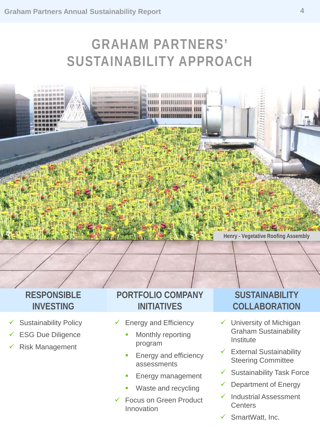# **GRAHAM PARTNERS' SUSTAINABILITY APPROACH**



### **RESPONSIBLE INVESTING**

- Sustainability Policy
- ESG Due Diligence
- Risk Management

### **PORTFOLIO COMPANY INITIATIVES**

- $\checkmark$  Energy and Efficiency
	- Monthly reporting program
	- Energy and efficiency assessments
	- Energy management
	- Waste and recycling
- Focus on Green Product Innovation

# **SUSTAINABILITY COLLABORATION**

- $\checkmark$  University of Michigan Graham Sustainability Institute
- $\checkmark$  External Sustainability Steering Committee
- $\checkmark$  Sustainability Task Force
- Department of Energy
- Industrial Assessment **Centers**
- $\checkmark$  SmartWatt, Inc.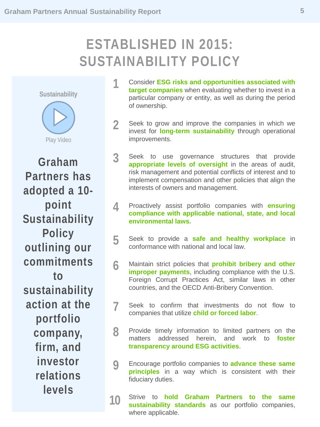# **ESTABLISHED IN 2015: SUSTAINABILITY POLICY**

**[Sustainability](https://youtu.be/nGzJ0HHchfA)**



**Graham Partners has adopted a 10 point Sustainability Policy outlining our commitments to sustainability action at the portfolio company, firm, and investor relations levels**

- **1** Consider **ESG risks and opportunities associated with target companies** when evaluating whether to invest in a particular company or entity, as well as during the period of ownership.
- **2** Seek to grow and improve the companies in which we invest for **long-term sustainability** through operational improvements.
- **3** Seek to use governance structures that provide **appropriate levels of oversight** in the areas of audit, risk management and potential conflicts of interest and to implement compensation and other policies that align the interests of owners and management.
- **4** Proactively assist portfolio companies with **ensuring compliance with applicable national, state, and local environmental laws.**
- **5** Seek to provide <sup>a</sup> **safe and healthy workplace** in conformance with national and local law.
- **6** Maintain strict policies that **prohibit bribery and other improper payments**, including compliance with the U.S. Foreign Corrupt Practices Act, similar laws in other countries, and the OECD Anti-Bribery Convention.
- Seek to confirm that investments do not flow to companies that utilize **child or forced labor**. **7**
- 8 Provide timely information to limited partners on the matters addressed herein. and work to **foster** matters addressed herein, **transparency around ESG activities**.
- **9** Encourage portfolio companies to **advance these same principles** in a way which is consistent with their fiduciary duties.
- **10** Strive to **hold Graham Partners to the same sustainability standards** as our portfolio companies, where applicable.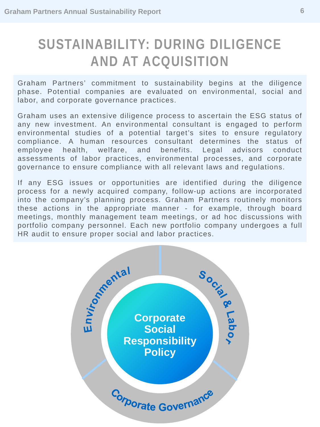# **SUSTAINABILITY: DURING DILIGENCE AND AT ACQUISITION**

Graham Partners' commitment to sustainability begins at the diligence phase. Potential companies are evaluated on environmental, social and labor, and corporate governance practices.

Graham uses an extensive diligence process to ascertain the ESG status of any new investment. An environmental consultant is engaged to perform environmental studies of a potential target's sites to ensure regulatory compliance. A human resources consultant determines the status of employee health, welfare, and benefits. Legal advisors conduct assessments of labor practices, environmental processes, and corporate governance to ensure compliance with all relevant laws and regulations.

If any ESG issues or opportunities are identified during the diligence process for a newly acquired company, follow-up actions are incorporated into the company's planning process. Graham Partners routinely monitors these actions in the appropriate manner - for example, through board meetings, monthly management team meetings, or ad hoc discussions with portfolio company personnel. Each new portfolio company undergoes a full HR audit to ensure proper social and labor practices.

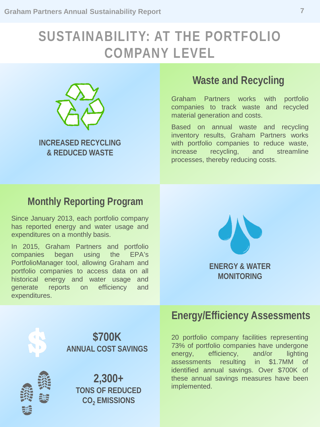# **SUSTAINABILITY: AT THE PORTFOLIO COMPANY LEVEL**



**INCREASED RECYCLING & REDUCED WASTE**

### **Waste and Recycling**

Graham Partners works with portfolio companies to track waste and recycled material generation and costs.

Based on annual waste and recycling inventory results, Graham Partners works with portfolio companies to reduce waste, increase recycling, and streamline processes, thereby reducing costs.

### **Monthly Reporting Program**

Since January 2013, each portfolio company has reported energy and water usage and expenditures on a monthly basis.

In 2015, Graham Partners and portfolio companies began using the EPA's PortfolioManager tool, allowing Graham and portfolio companies to access data on all historical energy and water usage and generate reports on efficiency and expenditures.





**\$700K ANNUAL COST SAVINGS**



**2,300+ TONS OF REDUCED CO2 EMISSIONS** 

# **Energy/Efficiency Assessments**

20 portfolio company facilities representing 73% of portfolio companies have undergone energy, efficiency, and/or lighting assessments resulting in \$1.7MM of identified annual savings. Over \$700K of these annual savings measures have been implemented.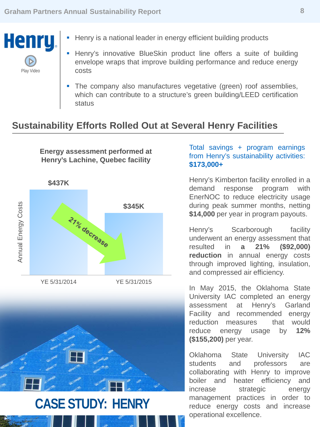

- Henry is a national leader in energy efficient building products
- Henry's innovative BlueSkin product line offers a suite of building envelope wraps that improve building performance and reduce energy costs
- The company also manufactures vegetative (green) roof assemblies, which can contribute to a structure's green building/LEED certification status

### **Sustainability Efforts Rolled Out at Several Henry Facilities**

**Energy assessment performed at Henry's Lachine, Quebec facility**





#### Total savings + program earnings from Henry's sustainability activities: **\$173,000+**

Henry's Kimberton facility enrolled in a demand response program with EnerNOC to reduce electricity usage during peak summer months, netting **\$14,000** per year in program payouts.

Henry's Scarborough facility underwent an energy assessment that resulted in **a 21% (\$92,000) reduction** in annual energy costs through improved lighting, insulation, and compressed air efficiency.

In May 2015, the Oklahoma State University IAC completed an energy assessment at Henry's Garland Facility and recommended energy reduction measures that would reduce energy usage by **12% (\$155,200)** per year.

Oklahoma State University IAC students and professors are collaborating with Henry to improve boiler and heater efficiency and increase strategic energy management practices in order to reduce energy costs and increase operational excellence.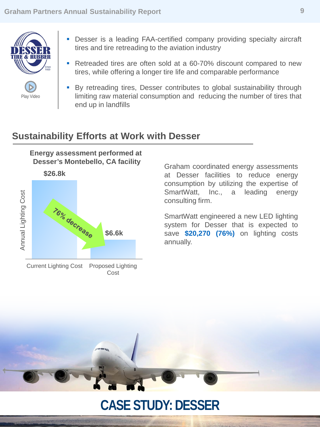

[Play Video](https://youtu.be/cxP_ZcdXsxI)

- **-** Desser is a leading FAA-certified company providing specialty aircraft tires and tire retreading to the aviation industry
- Retreaded tires are often sold at a 60-70% discount compared to new tires, while offering a longer tire life and comparable performance
- By retreading tires, Desser contributes to global sustainability through limiting raw material consumption and reducing the number of tires that end up in landfills

### **Sustainability Efforts at Work with Desser**

**Energy assessment performed at Desser's Montebello, CA facility**



Graham coordinated energy assessments at Desser facilities to reduce energy consumption by utilizing the expertise of SmartWatt, Inc., a leading energy consulting firm.

SmartWatt engineered a new LED lighting system for Desser that is expected to save **\$20,270 (76%)** on lighting costs annually.

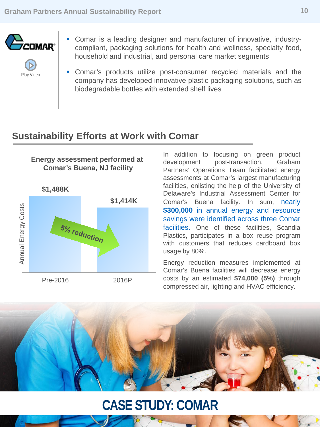

- [Play Video](https://youtu.be/qmR2IflVqHA)
- Comar is a leading designer and manufacturer of innovative, industrycompliant, packaging solutions for health and wellness, specialty food, household and industrial, and personal care market segments
- Comar's products utilize post-consumer recycled materials and the company has developed innovative plastic packaging solutions, such as biodegradable bottles with extended shelf lives

### **Sustainability Efforts at Work with Comar**

#### **Energy assessment performed at Comar's Buena, NJ facility**

**\$1,488K \$1,414K** Annual Energy Costs Annual Energy Costs 5% reduction Pre-2016 2016P

In addition to focusing on green product development post-transaction, Graham Partners' Operations Team facilitated energy assessments at Comar's largest manufacturing facilities, enlisting the help of the University of Delaware's Industrial Assessment Center for Comar's Buena facility. In sum, nearly **\$300,000** in annual energy and resource savings were identified across three Comar facilities. One of these facilities, Scandia Plastics, participates in a box reuse program with customers that reduces cardboard box usage by 80%.

Energy reduction measures implemented at Comar's Buena facilities will decrease energy costs by an estimated **\$74,000 (5%)** through compressed air, lighting and HVAC efficiency.

# **CASE STUDY: COMAR**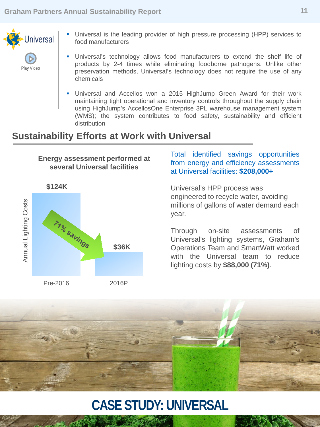

- Universal is the leading provider of high pressure processing (HPP) services to food manufacturers
- Universal's technology allows food manufacturers to extend the shelf life of products by 2-4 times while eliminating foodborne pathogens. Unlike other preservation methods, Universal's technology does not require the use of any chemicals
- Universal and Accellos won a 2015 HighJump Green Award for their work maintaining tight operational and inventory controls throughout the supply chain using HighJump's AccellosOne Enterprise 3PL warehouse management system (WMS); the system contributes to food safety, sustainability and efficient distribution

### **Sustainability Efforts at Work with Universal**





#### Total identified savings opportunities from energy and efficiency assessments at Universal facilities: **\$208,000+**

Universal's HPP process was engineered to recycle water, avoiding millions of gallons of water demand each year.

Through on-site assessments of Universal's lighting systems, Graham's Operations Team and SmartWatt worked with the Universal team to reduce lighting costs by **\$88,000 (71%)**.



# **CASE STUDY: UNIVERSAL**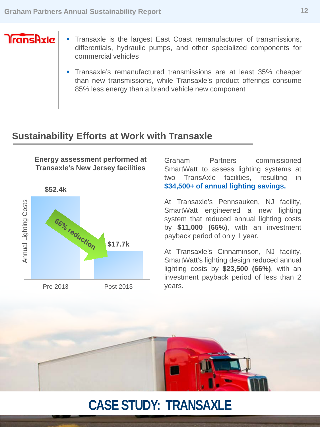# $\sqrt{\frac{1}{2}}$

- **Transaxle is the largest East Coast remanufacturer of transmissions,** differentials, hydraulic pumps, and other specialized components for commercial vehicles
	- Transaxle's remanufactured transmissions are at least 35% cheaper than new transmissions, while Transaxle's product offerings consume 85% less energy than a brand vehicle new component

### **Sustainability Efforts at Work with Transaxle**

**Energy assessment performed at Transaxle's New Jersey facilities**

**\$52.4k** Annual Lighting Costs Annual Lighting Costs66% reduction **\$17.7k** Pre-2013 Post-2013

Graham Partners commissioned SmartWatt to assess lighting systems at two TransAxle facilities, resulting in **\$34,500+ of annual lighting savings.**

At Transaxle's Pennsauken, NJ facility, SmartWatt engineered a new lighting system that reduced annual lighting costs by **\$11,000 (66%)**, with an investment payback period of only 1 year.

At Transaxle's Cinnaminson, NJ facility, SmartWatt's lighting design reduced annual lighting costs by **\$23,500 (66%)**, with an investment payback period of less than 2 years.



# **CASE STUDY: TRANSAXLE**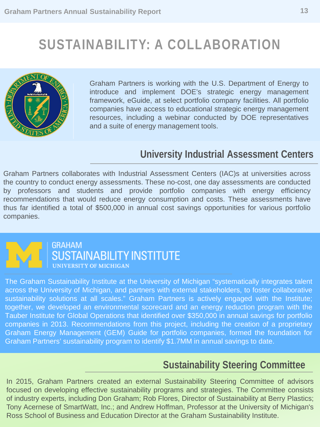# **SUSTAINABILITY: A COLLABORATION**



Graham Partners is working with the U.S. Department of Energy to introduce and implement DOE's strategic energy management framework, eGuide, at select portfolio company facilities. All portfolio companies have access to educational strategic energy management resources, including a webinar conducted by DOE representatives and a suite of energy management tools.

### **University Industrial Assessment Centers**

Graham Partners collaborates with Industrial Assessment Centers (IAC)s at universities across the country to conduct energy assessments. These no-cost, one day assessments are conducted by professors and students and provide portfolio companies with energy efficiency recommendations that would reduce energy consumption and costs. These assessments have thus far identified a total of \$500,000 in annual cost savings opportunities for various portfolio companies.



### **GRAHAM SUSTAINABILITY INSTITUTE UNIVERSITY OF MICHIGAN**

The Graham Sustainability Institute at the University of Michigan "systematically integrates talent across the University of Michigan, and partners with external stakeholders, to foster collaborative sustainability solutions at all scales." Graham Partners is actively engaged with the Institute; together, we developed an environmental scorecard and an energy reduction program with the Tauber Institute for Global Operations that identified over \$350,000 in annual savings for portfolio companies in 2013. Recommendations from this project, including the creation of a proprietary Graham Energy Management (GEM) Guide for portfolio companies, formed the foundation for Graham Partners' sustainability program to identify \$1.7MM in annual savings to date.

# **Sustainability Steering Committee**

In 2015, Graham Partners created an external Sustainability Steering Committee of advisors focused on developing effective sustainability programs and strategies. The Committee consists of industry experts, including Don Graham; Rob Flores, Director of Sustainability at Berry Plastics; Tony Acernese of SmartWatt, Inc.; and Andrew Hoffman, Professor at the University of Michigan's Ross School of Business and Education Director at the Graham Sustainability Institute.